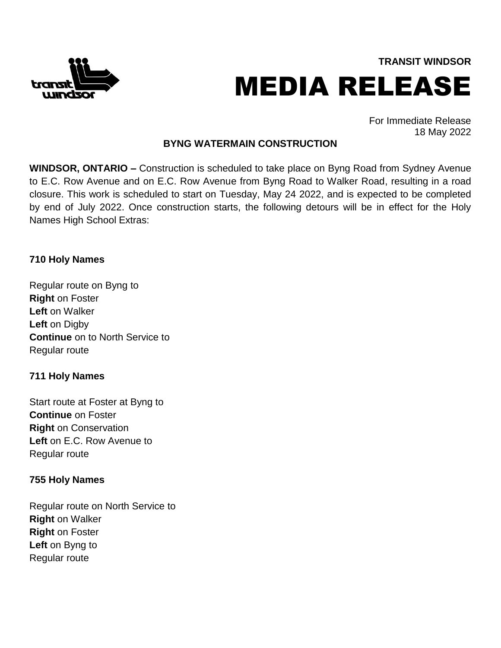

# **TRANSIT WINDSOR** MEDIA RELEASE

For Immediate Release 18 May 2022

## **BYNG WATERMAIN CONSTRUCTION**

**WINDSOR, ONTARIO –** Construction is scheduled to take place on Byng Road from Sydney Avenue to E.C. Row Avenue and on E.C. Row Avenue from Byng Road to Walker Road, resulting in a road closure. This work is scheduled to start on Tuesday, May 24 2022, and is expected to be completed by end of July 2022. Once construction starts, the following detours will be in effect for the Holy Names High School Extras:

#### **710 Holy Names**

Regular route on Byng to **Right** on Foster **Left** on Walker **Left** on Digby **Continue** on to North Service to Regular route

### **711 Holy Names**

Start route at Foster at Byng to **Continue** on Foster **Right** on Conservation **Left** on E.C. Row Avenue to Regular route

#### **755 Holy Names**

Regular route on North Service to **Right** on Walker **Right** on Foster **Left** on Byng to Regular route